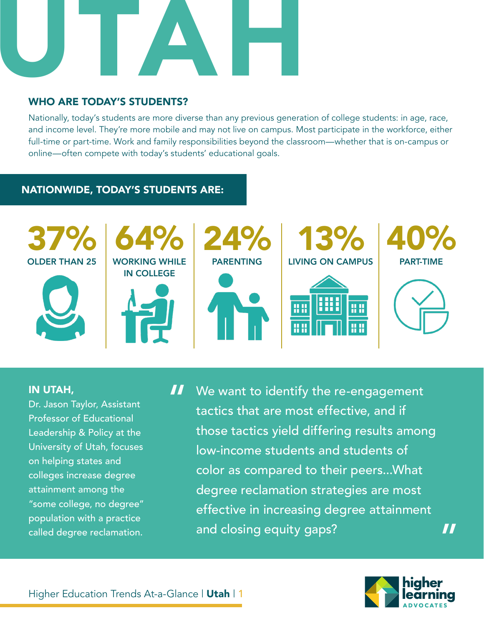

# WHO ARE TODAY'S STUDENTS?

Nationally, today's students are more diverse than any previous generation of college students: in age, race, and income level. They're more mobile and may not live on campus. Most participate in the workforce, either full-time or part-time. Work and family responsibilities beyond the classroom—whether that is on-campus or online—often compete with today's students' educational goals.

# NATIONWIDE, TODAY'S STUDENTS ARE:



### IN UTAH,

Dr. Jason Taylor, Assistant Professor of Educational Leadership & Policy at the University of Utah, focuses on helping states and colleges increase degree attainment among the "some college, no degree" population with a practice called degree reclamation.

We want to identify the re-engagement tactics that are most effective, and if those tactics yield differing results among low-income students and students of color as compared to their peers...What degree reclamation strategies are most effective in increasing degree attainment and closing equity gaps? "



"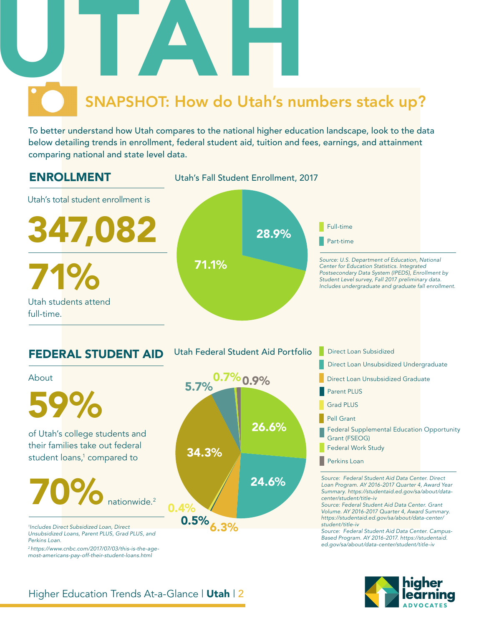To better understand how Utah compares to the national higher education landscape, look to the data below detailing trends in enrollment, federal student aid, tuition and fees, earnings, and attainment comparing national and state level data.



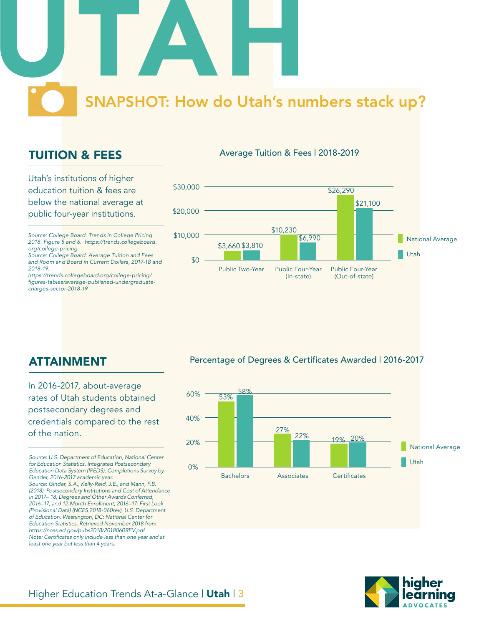# TUITION & FEES

Utah's institutions of higher education tuition & fees are below the national average at public four-year institutions.

*Source: College Board. Trends in College Pricing 2018. Figure 5 and 6. https://trends.collegeboard. org/college-pricing*

*Source: College Board. Average Tuition and Fees and Room and Board in Current Dollars, 2017-18 and 2018-19.*

*https://trends.collegeboard.org/college-pricing/* figures-tables/average-published-undergraduate*charges-sector-2018-19*



Average Tuition & Fees | 2018-2019

# ATTAINMENT

In 2016-2017, about-average rates of Utah students obtained postsecondary degrees and credentials compared to the rest of the nation.

*Source: U.S. Department of Education, National Center for Education Statistics. Integrated Postsecondary Education Data System (IPEDS), Completions Survey by Gender, 2016-2017 academic year.* 

*Source: Ginder, S.A., Kelly-Reid, J.E., and Mann, F.B. (2018). Postsecondary Institutions and Cost of Attendance in 2017– 18; Degrees and Other Awards Conferred, 2016–17; and 12-Month Enrollment, 2016–17: First Look (Provisional Data) (NCES 2018-060rev). U.S. Department of Education. Washington, DC: National Center for Education Statistics. Retrieved November 2018 from https://nces.ed.gov/pubs2018/2018060REV.pdf* Note: Certificates only include less than one year and at *least one year but less than 4 years.* 

#### Percentage of Degrees & Certificates Awarded | 2016-2017



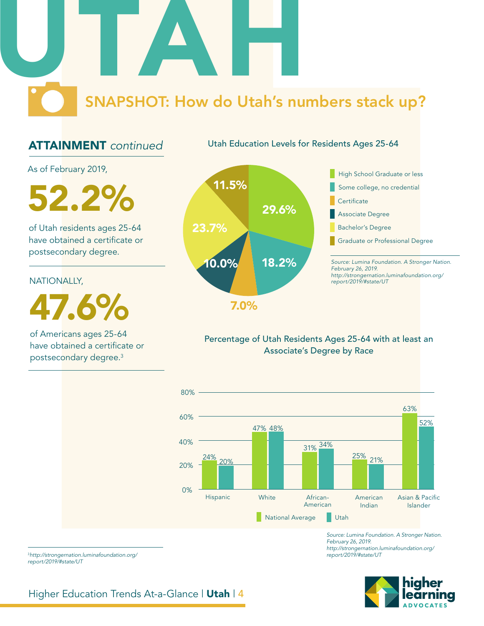# ATTAINMENT *continued*

Utah Education Levels for Residents Ages 25-64

As of February 2019,

52.2%

of Utah residents ages 25-64 have obtained a certificate or postsecondary degree.

NATIONALLY,

47.6%

of Americans ages 25-64 have obtained a certificate or postsecondary degree.3



7.0%

### Percentage of Utah Residents Ages 25-64 with at least an Associate's Degree by Race



*Source: Lumina Foundation. A Stronger Nation. February 26, 2019. http://strongernation.luminafoundation.org/ report/2019/#state/UT*

<sup>3</sup>*http://strongernation.luminafoundation.org/ report/2019/#state/UT*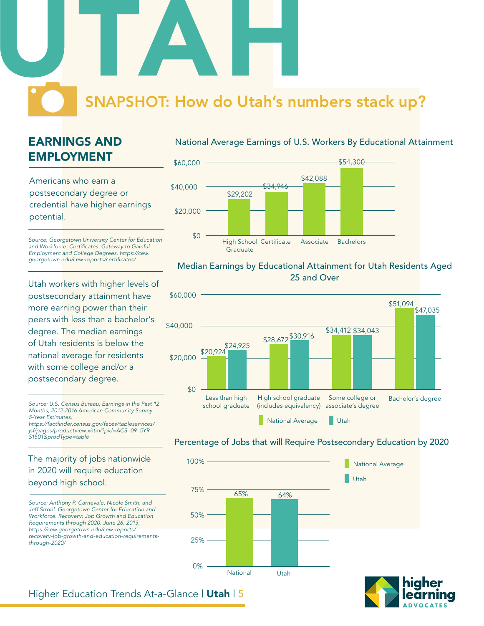# EARNINGS AND EMPLOYMENT

Americans who earn a postsecondary degree or credential have higher earnings potential.

*Source: Georgetown University Center for Education*  and Workforce. Certificates: Gateway to Gainful *Employment and College Degrees. https://cew.* georgetown.edu/cew-reports/certificates/

Utah workers with higher levels of postsecondary attainment have more earning power than their peers with less than a bachelor's degree. The median earnings of Utah residents is below the national average for residents with some college and/or a postsecondary degree.

*Source: U.S. Census Bureau, Earnings in the Past 12 Months, 2012-2016 American Community Survey 5-Year Estimates.* https://factfinder.census.gov/faces/tableservices/

*jsf/pages/productview.xhtml?pid=ACS\_09\_5YR\_ S1501&prodType=table*

### The majority of jobs nationwide in 2020 will require education beyond high school.

*Source: Anthony P. Carnevale, Nicole Smith, and Jeff Strohl. Georgetown Center for Education and Workforce. Recovery: Job Growth and Education Requirements through 2020. June 26, 2013. https://cew.georgetown.edu/cew-reports/ recovery-job-growth-and-education-requirementsthrough-2020/*

#### National Average Earnings of U.S. Workers By Educational Attainment



#### Median Earnings by Educational Attainment for Utah Residents Aged 25 and Over



#### Percentage of Jobs that will Require Postsecondary Education by 2020